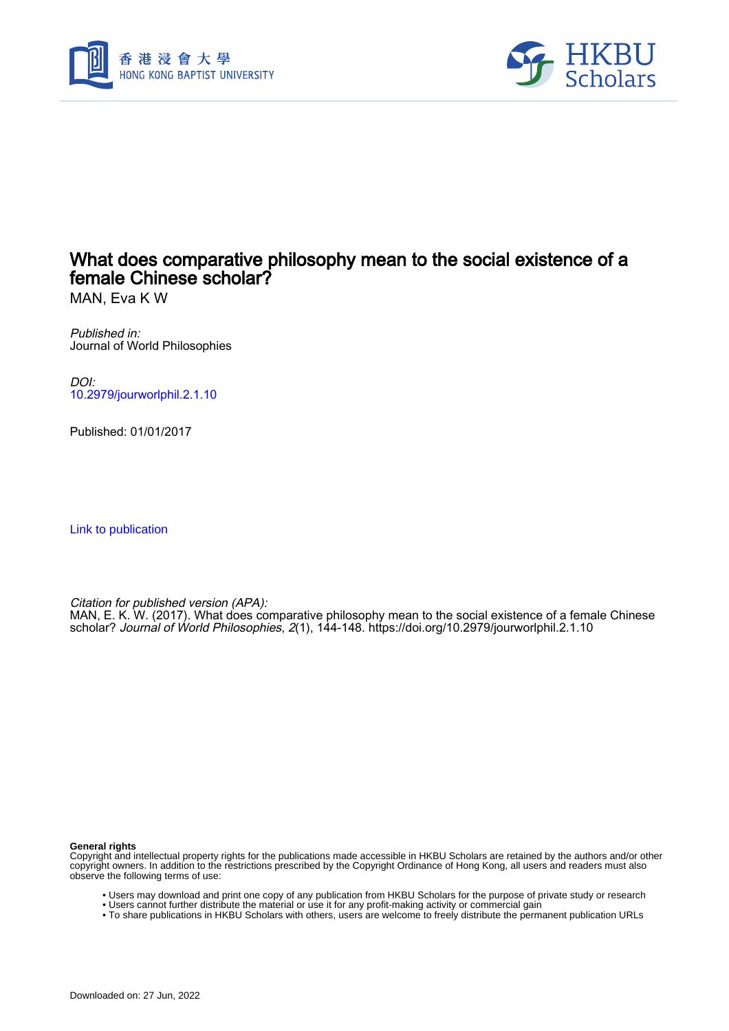



## What does comparative philosophy mean to the social existence of a female Chinese scholar?

MAN, Eva K W

Published in: Journal of World Philosophies

DOI: [10.2979/jourworlphil.2.1.10](https://doi.org/10.2979/jourworlphil.2.1.10)

Published: 01/01/2017

[Link to publication](https://scholars.hkbu.edu.hk/en/publications/a0b601c1-d056-40ea-9d73-00e8b72ff9ea)

Citation for published version (APA):

MAN, E. K. W. (2017). What does comparative philosophy mean to the social existence of a female Chinese scholar? Journal of World Philosophies, 2(1), 144-148. <https://doi.org/10.2979/jourworlphil.2.1.10>

**General rights**

Copyright and intellectual property rights for the publications made accessible in HKBU Scholars are retained by the authors and/or other copyright owners. In addition to the restrictions prescribed by the Copyright Ordinance of Hong Kong, all users and readers must also observe the following terms of use:

- Users may download and print one copy of any publication from HKBU Scholars for the purpose of private study or research
- Users cannot further distribute the material or use it for any profit-making activity or commercial gain
- To share publications in HKBU Scholars with others, users are welcome to freely distribute the permanent publication URLs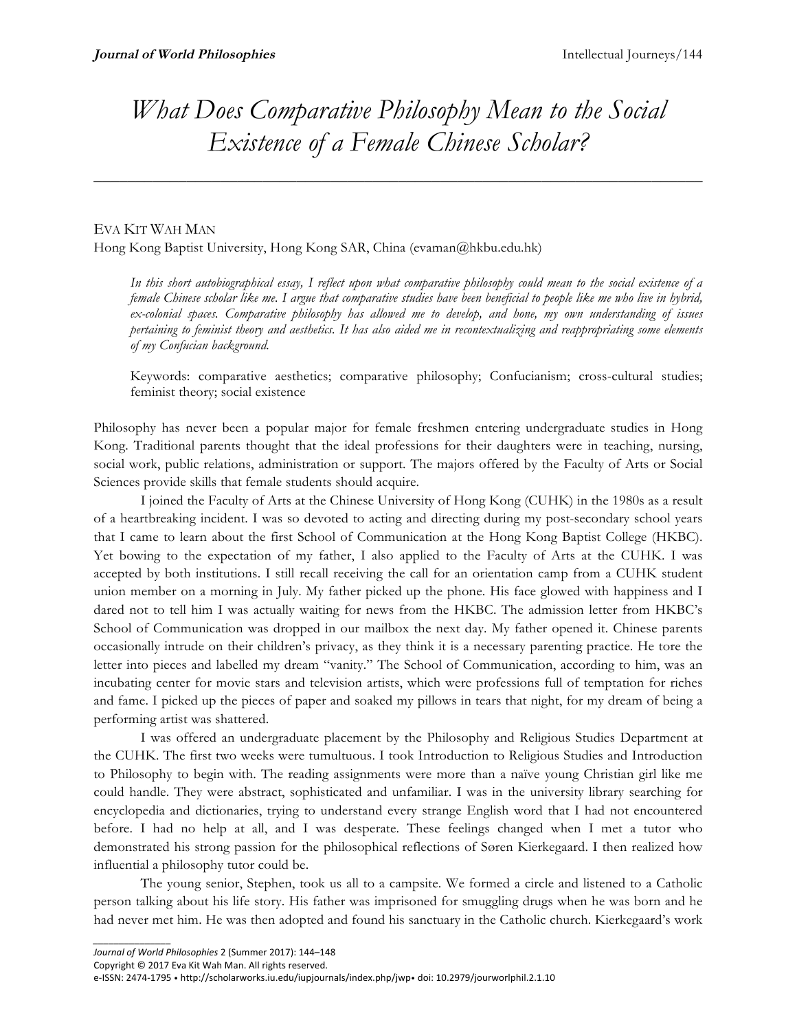## *What Does Comparative Philosophy Mean to the Social Existence of a Female Chinese Scholar?*

 $\overline{\phantom{a}}$  , and the contract of the contract of the contract of the contract of the contract of the contract of the contract of the contract of the contract of the contract of the contract of the contract of the contrac

## EVA KIT WAH MAN

*\_\_\_\_\_\_\_\_\_\_\_\_\_\_\_*

Hong Kong Baptist University, Hong Kong SAR, China (evaman@hkbu.edu.hk)

*In this short autobiographical essay, I reflect upon what comparative philosophy could mean to the social existence of a female Chinese scholar like me. I argue that comparative studies have been beneficial to people like me who live in hybrid, ex-colonial spaces. Comparative philosophy has allowed me to develop, and hone, my own understanding of issues pertaining to feminist theory and aesthetics. It has also aided me in recontextualizing and reappropriating some elements of my Confucian background.*

Keywords: comparative aesthetics; comparative philosophy; Confucianism; cross-cultural studies; feminist theory; social existence

Philosophy has never been a popular major for female freshmen entering undergraduate studies in Hong Kong. Traditional parents thought that the ideal professions for their daughters were in teaching, nursing, social work, public relations, administration or support. The majors offered by the Faculty of Arts or Social Sciences provide skills that female students should acquire.

I joined the Faculty of Arts at the Chinese University of Hong Kong (CUHK) in the 1980s as a result of a heartbreaking incident. I was so devoted to acting and directing during my post-secondary school years that I came to learn about the first School of Communication at the Hong Kong Baptist College (HKBC). Yet bowing to the expectation of my father, I also applied to the Faculty of Arts at the CUHK. I was accepted by both institutions. I still recall receiving the call for an orientation camp from a CUHK student union member on a morning in July. My father picked up the phone. His face glowed with happiness and I dared not to tell him I was actually waiting for news from the HKBC. The admission letter from HKBC's School of Communication was dropped in our mailbox the next day. My father opened it. Chinese parents occasionally intrude on their children's privacy, as they think it is a necessary parenting practice. He tore the letter into pieces and labelled my dream "vanity." The School of Communication, according to him, was an incubating center for movie stars and television artists, which were professions full of temptation for riches and fame. I picked up the pieces of paper and soaked my pillows in tears that night, for my dream of being a performing artist was shattered.

I was offered an undergraduate placement by the Philosophy and Religious Studies Department at the CUHK. The first two weeks were tumultuous. I took Introduction to Religious Studies and Introduction to Philosophy to begin with. The reading assignments were more than a naïve young Christian girl like me could handle. They were abstract, sophisticated and unfamiliar. I was in the university library searching for encyclopedia and dictionaries, trying to understand every strange English word that I had not encountered before. I had no help at all, and I was desperate. These feelings changed when I met a tutor who demonstrated his strong passion for the philosophical reflections of Søren Kierkegaard. I then realized how influential a philosophy tutor could be.

The young senior, Stephen, took us all to a campsite. We formed a circle and listened to a Catholic person talking about his life story. His father was imprisoned for smuggling drugs when he was born and he had never met him. He was then adopted and found his sanctuary in the Catholic church. Kierkegaard's work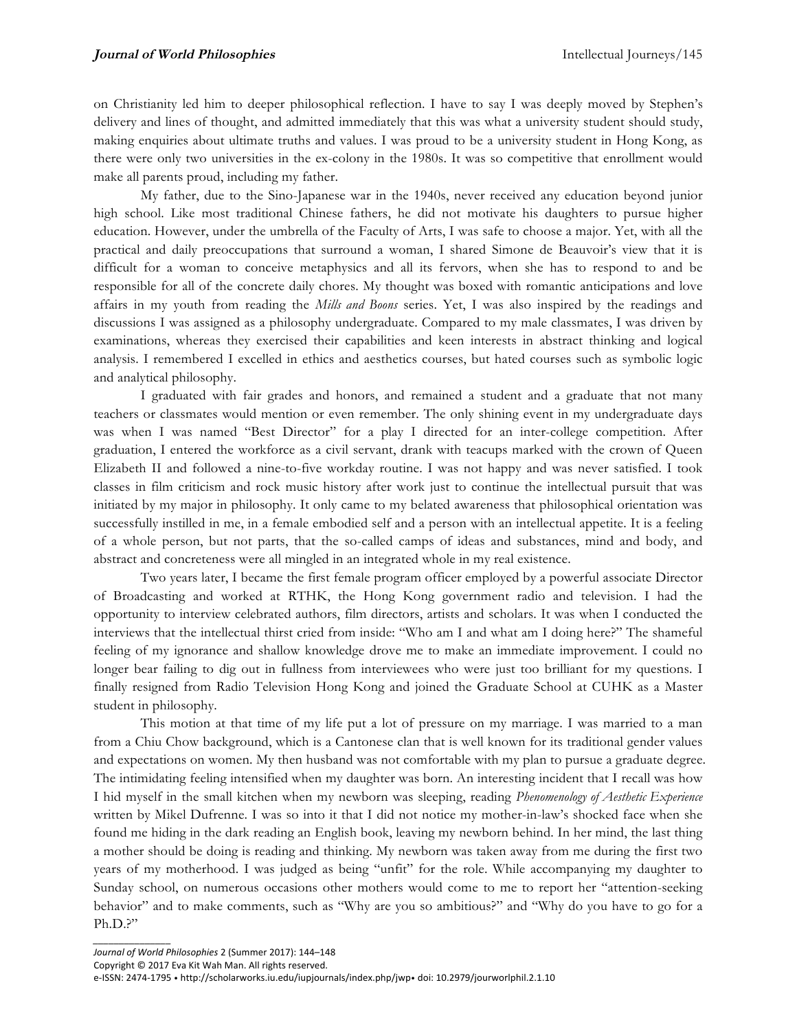on Christianity led him to deeper philosophical reflection. I have to say I was deeply moved by Stephen's delivery and lines of thought, and admitted immediately that this was what a university student should study, making enquiries about ultimate truths and values. I was proud to be a university student in Hong Kong, as there were only two universities in the ex-colony in the 1980s. It was so competitive that enrollment would make all parents proud, including my father.

My father, due to the Sino-Japanese war in the 1940s, never received any education beyond junior high school. Like most traditional Chinese fathers, he did not motivate his daughters to pursue higher education. However, under the umbrella of the Faculty of Arts, I was safe to choose a major. Yet, with all the practical and daily preoccupations that surround a woman, I shared Simone de Beauvoir's view that it is difficult for a woman to conceive metaphysics and all its fervors, when she has to respond to and be responsible for all of the concrete daily chores. My thought was boxed with romantic anticipations and love affairs in my youth from reading the *Mills and Boons* series. Yet, I was also inspired by the readings and discussions I was assigned as a philosophy undergraduate. Compared to my male classmates, I was driven by examinations, whereas they exercised their capabilities and keen interests in abstract thinking and logical analysis. I remembered I excelled in ethics and aesthetics courses, but hated courses such as symbolic logic and analytical philosophy.

I graduated with fair grades and honors, and remained a student and a graduate that not many teachers or classmates would mention or even remember. The only shining event in my undergraduate days was when I was named "Best Director" for a play I directed for an inter-college competition. After graduation, I entered the workforce as a civil servant, drank with teacups marked with the crown of Queen Elizabeth II and followed a nine-to-five workday routine. I was not happy and was never satisfied. I took classes in film criticism and rock music history after work just to continue the intellectual pursuit that was initiated by my major in philosophy. It only came to my belated awareness that philosophical orientation was successfully instilled in me, in a female embodied self and a person with an intellectual appetite. It is a feeling of a whole person, but not parts, that the so-called camps of ideas and substances, mind and body, and abstract and concreteness were all mingled in an integrated whole in my real existence.

Two years later, I became the first female program officer employed by a powerful associate Director of Broadcasting and worked at RTHK, the Hong Kong government radio and television. I had the opportunity to interview celebrated authors, film directors, artists and scholars. It was when I conducted the interviews that the intellectual thirst cried from inside: "Who am I and what am I doing here?" The shameful feeling of my ignorance and shallow knowledge drove me to make an immediate improvement. I could no longer bear failing to dig out in fullness from interviewees who were just too brilliant for my questions. I finally resigned from Radio Television Hong Kong and joined the Graduate School at CUHK as a Master student in philosophy.

This motion at that time of my life put a lot of pressure on my marriage. I was married to a man from a Chiu Chow background, which is a Cantonese clan that is well known for its traditional gender values and expectations on women. My then husband was not comfortable with my plan to pursue a graduate degree. The intimidating feeling intensified when my daughter was born. An interesting incident that I recall was how I hid myself in the small kitchen when my newborn was sleeping, reading *Phenomenology of Aesthetic Experience* written by Mikel Dufrenne. I was so into it that I did not notice my mother-in-law's shocked face when she found me hiding in the dark reading an English book, leaving my newborn behind. In her mind, the last thing a mother should be doing is reading and thinking. My newborn was taken away from me during the first two years of my motherhood. I was judged as being "unfit" for the role. While accompanying my daughter to Sunday school, on numerous occasions other mothers would come to me to report her "attention-seeking behavior" and to make comments, such as "Why are you so ambitious?" and "Why do you have to go for a Ph.D.?"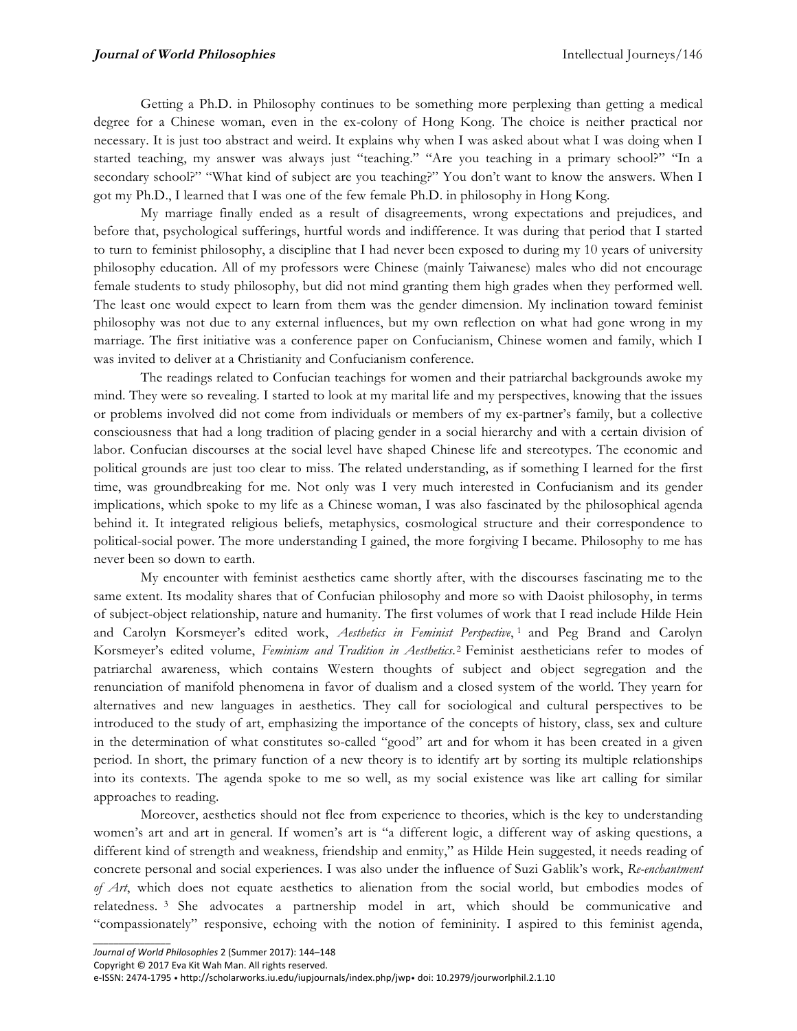Getting a Ph.D. in Philosophy continues to be something more perplexing than getting a medical degree for a Chinese woman, even in the ex-colony of Hong Kong. The choice is neither practical nor necessary. It is just too abstract and weird. It explains why when I was asked about what I was doing when I started teaching, my answer was always just "teaching." "Are you teaching in a primary school?" "In a secondary school?" "What kind of subject are you teaching?" You don't want to know the answers. When I got my Ph.D., I learned that I was one of the few female Ph.D. in philosophy in Hong Kong.

My marriage finally ended as a result of disagreements, wrong expectations and prejudices, and before that, psychological sufferings, hurtful words and indifference. It was during that period that I started to turn to feminist philosophy, a discipline that I had never been exposed to during my 10 years of university philosophy education. All of my professors were Chinese (mainly Taiwanese) males who did not encourage female students to study philosophy, but did not mind granting them high grades when they performed well. The least one would expect to learn from them was the gender dimension. My inclination toward feminist philosophy was not due to any external influences, but my own reflection on what had gone wrong in my marriage. The first initiative was a conference paper on Confucianism, Chinese women and family, which I was invited to deliver at a Christianity and Confucianism conference.

The readings related to Confucian teachings for women and their patriarchal backgrounds awoke my mind. They were so revealing. I started to look at my marital life and my perspectives, knowing that the issues or problems involved did not come from individuals or members of my ex-partner's family, but a collective consciousness that had a long tradition of placing gender in a social hierarchy and with a certain division of labor. Confucian discourses at the social level have shaped Chinese life and stereotypes. The economic and political grounds are just too clear to miss. The related understanding, as if something I learned for the first time, was groundbreaking for me. Not only was I very much interested in Confucianism and its gender implications, which spoke to my life as a Chinese woman, I was also fascinated by the philosophical agenda behind it. It integrated religious beliefs, metaphysics, cosmological structure and their correspondence to political-social power. The more understanding I gained, the more forgiving I became. Philosophy to me has never been so down to earth.

My encounter with feminist aesthetics came shortly after, with the discourses fascinating me to the same extent. Its modality shares that of Confucian philosophy and more so with Daoist philosophy, in terms of subject-object relationship, nature and humanity. The first volumes of work that I read include Hilde Hein and Carolyn Korsmeyer's edited work, *Aesthetics in Feminist Perspective*, <sup>1</sup> and Peg Brand and Carolyn Korsmeyer's edited volume, *Feminism and Tradition in Aesthetics*. <sup>2</sup> Feminist aestheticians refer to modes of patriarchal awareness, which contains Western thoughts of subject and object segregation and the renunciation of manifold phenomena in favor of dualism and a closed system of the world. They yearn for alternatives and new languages in aesthetics. They call for sociological and cultural perspectives to be introduced to the study of art, emphasizing the importance of the concepts of history, class, sex and culture in the determination of what constitutes so-called "good" art and for whom it has been created in a given period. In short, the primary function of a new theory is to identify art by sorting its multiple relationships into its contexts. The agenda spoke to me so well, as my social existence was like art calling for similar approaches to reading.

Moreover, aesthetics should not flee from experience to theories, which is the key to understanding women's art and art in general. If women's art is "a different logic, a different way of asking questions, a different kind of strength and weakness, friendship and enmity," as Hilde Hein suggested, it needs reading of concrete personal and social experiences. I was also under the influence of Suzi Gablik's work, *Re-enchantment of Art*, which does not equate aesthetics to alienation from the social world, but embodies modes of relatedness. <sup>3</sup> She advocates a partnership model in art, which should be communicative and "compassionately" responsive, echoing with the notion of femininity. I aspired to this feminist agenda,

*\_\_\_\_\_\_\_\_\_\_\_\_\_\_\_*

Copyright  $©$  2017 Eva Kit Wah Man. All rights reserved.

e-ISSN: 2474-1795 · http://scholarworks.iu.edu/iupjournals/index.php/jwp• doi: 10.2979/jourworlphil.2.1.10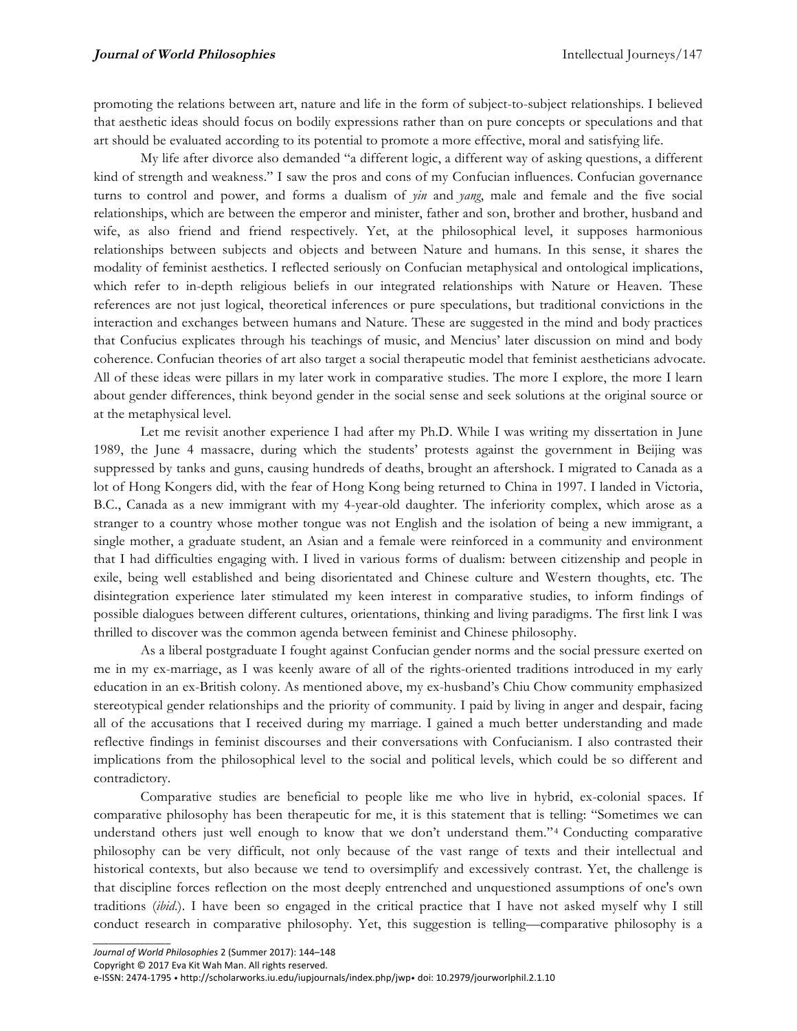promoting the relations between art, nature and life in the form of subject-to-subject relationships. I believed that aesthetic ideas should focus on bodily expressions rather than on pure concepts or speculations and that art should be evaluated according to its potential to promote a more effective, moral and satisfying life.

My life after divorce also demanded "a different logic, a different way of asking questions, a different kind of strength and weakness." I saw the pros and cons of my Confucian influences. Confucian governance turns to control and power, and forms a dualism of *yin* and *yang*, male and female and the five social relationships, which are between the emperor and minister, father and son, brother and brother, husband and wife, as also friend and friend respectively. Yet, at the philosophical level, it supposes harmonious relationships between subjects and objects and between Nature and humans. In this sense, it shares the modality of feminist aesthetics. I reflected seriously on Confucian metaphysical and ontological implications, which refer to in-depth religious beliefs in our integrated relationships with Nature or Heaven. These references are not just logical, theoretical inferences or pure speculations, but traditional convictions in the interaction and exchanges between humans and Nature. These are suggested in the mind and body practices that Confucius explicates through his teachings of music, and Mencius' later discussion on mind and body coherence. Confucian theories of art also target a social therapeutic model that feminist aestheticians advocate. All of these ideas were pillars in my later work in comparative studies. The more I explore, the more I learn about gender differences, think beyond gender in the social sense and seek solutions at the original source or at the metaphysical level.

Let me revisit another experience I had after my Ph.D. While I was writing my dissertation in June 1989, the June 4 massacre, during which the students' protests against the government in Beijing was suppressed by tanks and guns, causing hundreds of deaths, brought an aftershock. I migrated to Canada as a lot of Hong Kongers did, with the fear of Hong Kong being returned to China in 1997. I landed in Victoria, B.C., Canada as a new immigrant with my 4-year-old daughter. The inferiority complex, which arose as a stranger to a country whose mother tongue was not English and the isolation of being a new immigrant, a single mother, a graduate student, an Asian and a female were reinforced in a community and environment that I had difficulties engaging with. I lived in various forms of dualism: between citizenship and people in exile, being well established and being disorientated and Chinese culture and Western thoughts, etc. The disintegration experience later stimulated my keen interest in comparative studies, to inform findings of possible dialogues between different cultures, orientations, thinking and living paradigms. The first link I was thrilled to discover was the common agenda between feminist and Chinese philosophy.

As a liberal postgraduate I fought against Confucian gender norms and the social pressure exerted on me in my ex-marriage, as I was keenly aware of all of the rights-oriented traditions introduced in my early education in an ex-British colony. As mentioned above, my ex-husband's Chiu Chow community emphasized stereotypical gender relationships and the priority of community. I paid by living in anger and despair, facing all of the accusations that I received during my marriage. I gained a much better understanding and made reflective findings in feminist discourses and their conversations with Confucianism. I also contrasted their implications from the philosophical level to the social and political levels, which could be so different and contradictory.

Comparative studies are beneficial to people like me who live in hybrid, ex-colonial spaces. If comparative philosophy has been therapeutic for me, it is this statement that is telling: "Sometimes we can understand others just well enough to know that we don't understand them."4 Conducting comparative philosophy can be very difficult, not only because of the vast range of texts and their intellectual and historical contexts, but also because we tend to oversimplify and excessively contrast. Yet, the challenge is that discipline forces reflection on the most deeply entrenched and unquestioned assumptions of one's own traditions (*ibid*.). I have been so engaged in the critical practice that I have not asked myself why I still conduct research in comparative philosophy. Yet, this suggestion is telling—comparative philosophy is a

*\_\_\_\_\_\_\_\_\_\_\_\_\_\_\_*